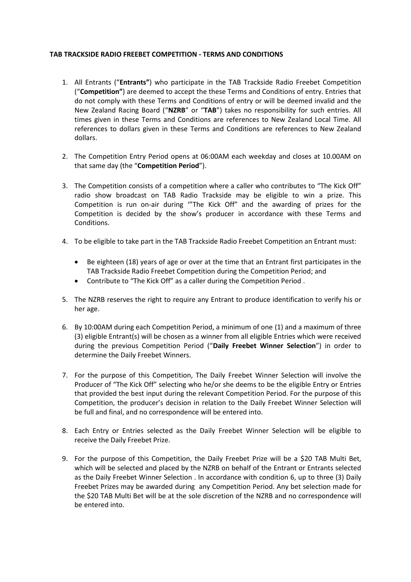## **TAB TRACKSIDE RADIO FREEBET COMPETITION - TERMS AND CONDITIONS**

- 1. All Entrants ("**Entrants"**) who participate in the TAB Trackside Radio Freebet Competition ("**Competition"**) are deemed to accept the these Terms and Conditions of entry. Entries that do not comply with these Terms and Conditions of entry or will be deemed invalid and the New Zealand Racing Board ("**NZRB**" or "**TAB**") takes no responsibility for such entries. All times given in these Terms and Conditions are references to New Zealand Local Time. All references to dollars given in these Terms and Conditions are references to New Zealand dollars.
- 2. The Competition Entry Period opens at 06:00AM each weekday and closes at 10.00AM on that same day (the "**Competition Period**").
- 3. The Competition consists of a competition where a caller who contributes to "The Kick Off" radio show broadcast on TAB Radio Trackside may be eligible to win a prize. This Competition is run on-air during '"The Kick Off" and the awarding of prizes for the Competition is decided by the show's producer in accordance with these Terms and Conditions.
- 4. To be eligible to take part in the TAB Trackside Radio Freebet Competition an Entrant must:
	- Be eighteen (18) years of age or over at the time that an Entrant first participates in the TAB Trackside Radio Freebet Competition during the Competition Period; and
	- Contribute to "The Kick Off" as a caller during the Competition Period .
- 5. The NZRB reserves the right to require any Entrant to produce identification to verify his or her age.
- 6. By 10:00AM during each Competition Period, a minimum of one (1) and a maximum of three (3) eligible Entrant(s) will be chosen as a winner from all eligible Entries which were received during the previous Competition Period ("**Daily Freebet Winner Selection**") in order to determine the Daily Freebet Winners.
- 7. For the purpose of this Competition, The Daily Freebet Winner Selection will involve the Producer of "The Kick Off" selecting who he/or she deems to be the eligible Entry or Entries that provided the best input during the relevant Competition Period. For the purpose of this Competition, the producer's decision in relation to the Daily Freebet Winner Selection will be full and final, and no correspondence will be entered into.
- 8. Each Entry or Entries selected as the Daily Freebet Winner Selection will be eligible to receive the Daily Freebet Prize.
- 9. For the purpose of this Competition, the Daily Freebet Prize will be a \$20 TAB Multi Bet, which will be selected and placed by the NZRB on behalf of the Entrant or Entrants selected as the Daily Freebet Winner Selection . In accordance with condition 6, up to three (3) Daily Freebet Prizes may be awarded during any Competition Period. Any bet selection made for the \$20 TAB Multi Bet will be at the sole discretion of the NZRB and no correspondence will be entered into.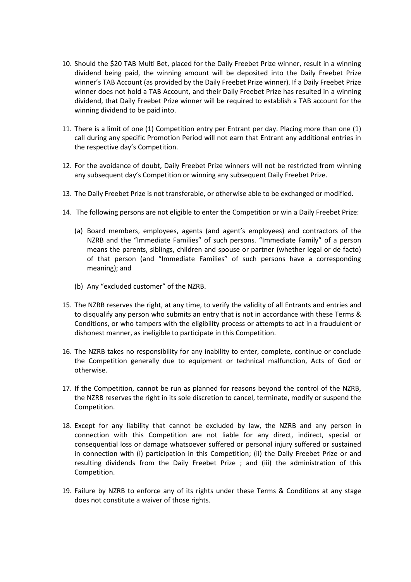- 10. Should the \$20 TAB Multi Bet, placed for the Daily Freebet Prize winner, result in a winning dividend being paid, the winning amount will be deposited into the Daily Freebet Prize winner's TAB Account (as provided by the Daily Freebet Prize winner). If a Daily Freebet Prize winner does not hold a TAB Account, and their Daily Freebet Prize has resulted in a winning dividend, that Daily Freebet Prize winner will be required to establish a TAB account for the winning dividend to be paid into.
- 11. There is a limit of one (1) Competition entry per Entrant per day. Placing more than one (1) call during any specific Promotion Period will not earn that Entrant any additional entries in the respective day's Competition.
- 12. For the avoidance of doubt, Daily Freebet Prize winners will not be restricted from winning any subsequent day's Competition or winning any subsequent Daily Freebet Prize.
- 13. The Daily Freebet Prize is not transferable, or otherwise able to be exchanged or modified.
- 14. The following persons are not eligible to enter the Competition or win a Daily Freebet Prize:
	- (a) Board members, employees, agents (and agent's employees) and contractors of the NZRB and the "Immediate Families" of such persons. "Immediate Family" of a person means the parents, siblings, children and spouse or partner (whether legal or de facto) of that person (and "Immediate Families" of such persons have a corresponding meaning); and
	- (b) Any "excluded customer" of the NZRB.
- 15. The NZRB reserves the right, at any time, to verify the validity of all Entrants and entries and to disqualify any person who submits an entry that is not in accordance with these Terms & Conditions, or who tampers with the eligibility process or attempts to act in a fraudulent or dishonest manner, as ineligible to participate in this Competition.
- 16. The NZRB takes no responsibility for any inability to enter, complete, continue or conclude the Competition generally due to equipment or technical malfunction, Acts of God or otherwise.
- 17. If the Competition, cannot be run as planned for reasons beyond the control of the NZRB, the NZRB reserves the right in its sole discretion to cancel, terminate, modify or suspend the Competition.
- 18. Except for any liability that cannot be excluded by law, the NZRB and any person in connection with this Competition are not liable for any direct, indirect, special or consequential loss or damage whatsoever suffered or personal injury suffered or sustained in connection with (i) participation in this Competition; (ii) the Daily Freebet Prize or and resulting dividends from the Daily Freebet Prize ; and (iii) the administration of this Competition.
- 19. Failure by NZRB to enforce any of its rights under these Terms & Conditions at any stage does not constitute a waiver of those rights.